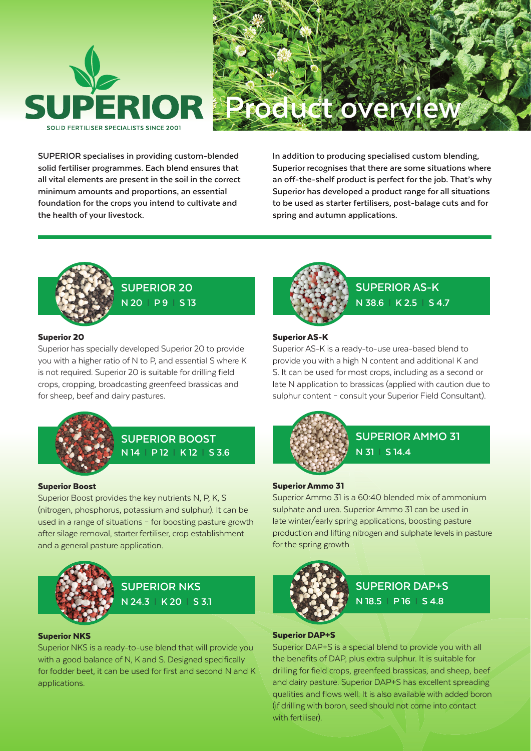



**SUPERIOR specialises in providing custom-blended solid fertiliser programmes. Each blend ensures that all vital elements are present in the soil in the correct minimum amounts and proportions, an essential foundation for the crops you intend to cultivate and the health of your livestock.** 

**In addition to producing specialised custom blending, Superior recognises that there are some situations where an off-the-shelf product is perfect for the job. That's why Superior has developed a product range for all situations to be used as starter fertilisers, post-balage cuts and for spring and autumn applications.**



**SUPERIOR 20 N 20 l P 9 l S 13**

### Superior 20

Superior has specially developed Superior 20 to provide you with a higher ratio of N to P, and essential S where K is not required. Superior 20 is suitable for drilling field crops, cropping, broadcasting greenfeed brassicas and for sheep, beef and dairy pastures.



# **N 14 l P 12 l K 12 l S 3.6 SUPERIOR BOOST**

#### Superior Boost

Superior Boost provides the key nutrients N, P, K, S (nitrogen, phosphorus, potassium and sulphur). It can be used in a range of situations – for boosting pasture growth after silage removal, starter fertiliser, crop establishment and a general pasture application.



#### Superior NKS

Superior NKS is a ready-to-use blend that will provide you with a good balance of N, K and S. Designed specifically for fodder beet, it can be used for first and second N and K applications.



**SUPERIOR AS-K N 38.6 l K 2.5 l S 4.7**

#### Superior AS-K

Superior AS-K is a ready-to-use urea-based blend to provide you with a high N content and additional K and S. It can be used for most crops, including as a second or late N application to brassicas (applied with caution due to sulphur content – consult your Superior Field Consultant).



# **SUPERIOR AMMO 31 N 31 l S 14.4**

#### Superior Ammo 31

Superior Ammo 31 is a 60:40 blended mix of ammonium sulphate and urea. Superior Ammo 31 can be used in late winter/early spring applications, boosting pasture production and lifting nitrogen and sulphate levels in pasture for the spring growth



# **SUPERIOR DAP+S N 18.5 l P 16 l S 4.8**

#### Superior DAP+S

Superior DAP+S is a special blend to provide you with all the benefits of DAP, plus extra sulphur. It is suitable for drilling for field crops, greenfeed brassicas, and sheep, beef and dairy pasture. Superior DAP+S has excellent spreading qualities and flows well. It is also available with added boron (if drilling with boron, seed should not come into contact with fertiliser).